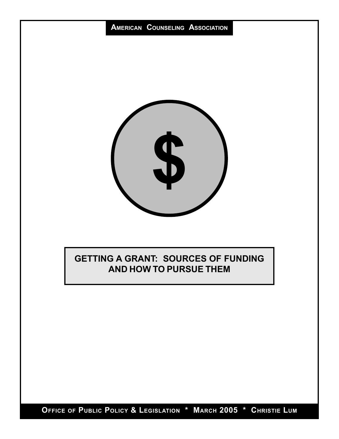

**OFFICE OF PUBLIC POLICY & LEGISLATION \* MARCH 2005 \* CHRISTIE LUM**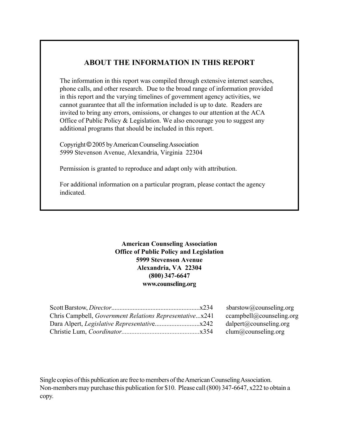# **ABOUT THE INFORMATION IN THIS REPORT**

The information in this report was compiled through extensive internet searches, phone calls, and other research. Due to the broad range of information provided in this report and the varying timelines of government agency activities, we cannot guarantee that all the information included is up to date. Readers are invited to bring any errors, omissions, or changes to our attention at the ACA Office of Public Policy & Legislation. We also encourage you to suggest any additional programs that should be included in this report.

Copyright © 2005 by American Counseling Association 5999 Stevenson Avenue, Alexandria, Virginia 22304

Permission is granted to reproduce and adapt only with attribution.

For additional information on a particular program, please contact the agency indicated.

> **American Counseling Association Office of Public Policy and Legislation 5999 Stevenson Avenue Alexandria, VA 22304 (800) 347-6647 www.counseling.org**

|                                                         | sbarstow@counseling.org  |
|---------------------------------------------------------|--------------------------|
| Chris Campbell, Government Relations Representativex241 | ccampbell@counseling.org |
|                                                         | dalpert@counseling.org   |
|                                                         | clum@counseling.org      |

Single copies of this publication are free to members of the American Counseling Association. Non-members may purchase this publication for \$10. Please call (800) 347-6647, x222 to obtain a copy.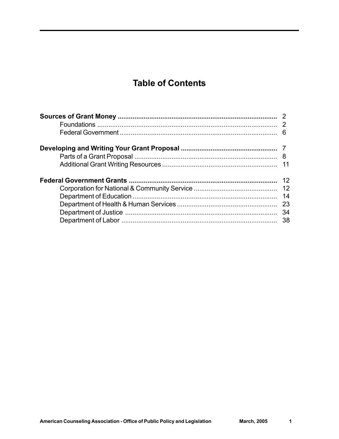# **Table of Contents**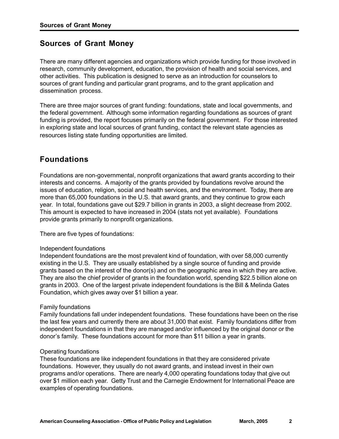# **Sources of Grant Money**

There are many different agencies and organizations which provide funding for those involved in research, community development, education, the provision of health and social services, and other activities. This publication is designed to serve as an introduction for counselors to sources of grant funding and particular grant programs, and to the grant application and dissemination process.

There are three major sources of grant funding: foundations, state and local governments, and the federal government. Although some information regarding foundations as sources of grant funding is provided, the report focuses primarily on the federal government. For those interested in exploring state and local sources of grant funding, contact the relevant state agencies as resources listing state funding opportunities are limited.

# **Foundations**

Foundations are non-governmental, nonprofit organizations that award grants according to their interests and concerns. A majority of the grants provided by foundations revolve around the issues of education, religion, social and health services, and the environment. Today, there are more than 65,000 foundations in the U.S. that award grants, and they continue to grow each year. In total, foundations gave out \$29.7 billion in grants in 2003, a slight decrease from 2002. This amount is expected to have increased in 2004 (stats not yet available). Foundations provide grants primarily to nonprofit organizations.

There are five types of foundations:

#### Independent foundations

Independent foundations are the most prevalent kind of foundation, with over 58,000 currently existing in the U.S. They are usually established by a single source of funding and provide grants based on the interest of the donor(s) and on the geographic area in which they are active. They are also the chief provider of grants in the foundation world, spending \$22.5 billion alone on grants in 2003. One of the largest private independent foundations is the Bill & Melinda Gates Foundation, which gives away over \$1 billion a year.

#### Family foundations

Family foundations fall under independent foundations. These foundations have been on the rise the last few years and currently there are about 31,000 that exist. Family foundations differ from independent foundations in that they are managed and/or influenced by the original donor or the donor's family. These foundations account for more than \$11 billion a year in grants.

#### Operating foundations

These foundations are like independent foundations in that they are considered private foundations. However, they usually do not award grants, and instead invest in their own programs and/or operations. There are nearly 4,000 operating foundations today that give out over \$1 million each year. Getty Trust and the Carnegie Endowment for International Peace are examples of operating foundations.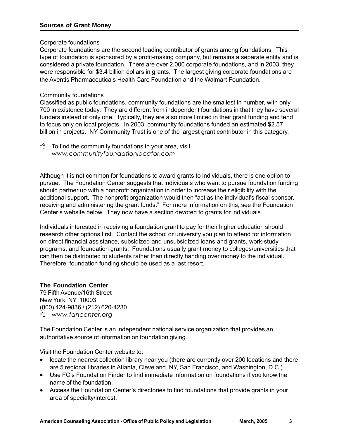#### Corporate foundations

Corporate foundations are the second leading contributor of grants among foundations. This type of foundation is sponsored by a profit-making company, but remains a separate entity and is considered a private foundation. There are over 2,000 corporate foundations, and in 2003, they were responsible for \$3.4 billion dollars in grants. The largest giving corporate foundations are the Aventis Pharmaceuticals Health Care Foundation and the Walmart Foundation.

#### Community foundations

Classified as public foundations, community foundations are the smallest in number, with only 700 in existence today. They are different from independent foundations in that they have several funders instead of only one. Typically, they are also more limited in their grant funding and tend to focus only on local projects. In 2003, community foundations funded an estimated \$2.57 billion in projects. NY Community Trust is one of the largest grant contributor in this category.

 $\sqrt{2}$  To find the community foundations in your area, visit *www.communityfoundationlocator.com*

Although it is not common for foundations to award grants to individuals, there is one option to pursue. The Foundation Center suggests that individuals who want to pursue foundation funding should partner up with a nonprofit organization in order to increase their eligibility with the additional support. The nonprofit organization would then "act as the individual's fiscal sponsor, receiving and administering the grant funds." For more information on this, see the Foundation Center's website below. They now have a section devoted to grants for individuals.

Individuals interested in receiving a foundation grant to pay for their higher education should research other options first. Contact the school or university you plan to attend for information on direct financial assistance, subsidized and unsubsidized loans and grants, work-study programs, and foundation grants. Foundations usually grant money to colleges/universities that can then be distributed to students rather than directly handing over money to the individual. Therefore, foundation funding should be used as a last resort.

#### **The Foundation Center**

79 Fifth Avenue/16th Street New York, NY 10003 (800) 424-9836 / (212) 620-4230 *www.fdncenter.org*

The Foundation Center is an independent national service organization that provides an authoritative source of information on foundation giving.

Visit the Foundation Center website to:

- locate the nearest collection library near you (there are currently over 200 locations and there are 5 regional libraries in Atlanta, Cleveland, NY, San Francisco, and Washington, D.C.).
- Use FC's Foundation Finder to find immediate information on foundations if you know the name of the foundation.
- Access the Foundation Center's directories to find foundations that provide grants in your area of specialty/interest.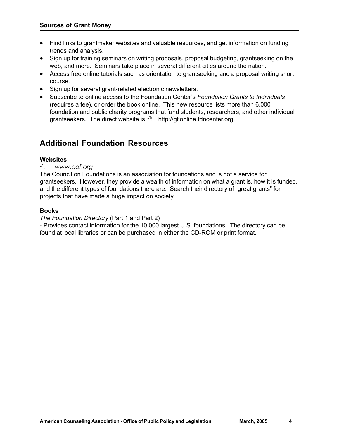- Find links to grantmaker websites and valuable resources, and get information on funding trends and analysis.
- Sign up for training seminars on writing proposals, proposal budgeting, grantseeking on the web, and more. Seminars take place in several different cities around the nation.
- Access free online tutorials such as orientation to grantseeking and a proposal writing short course.
- Sign up for several grant-related electronic newsletters.
- Subscribe to online access to the Foundation Center's *Foundation Grants to Individuals* (requires a fee), or order the book online. This new resource lists more than 6,000 foundation and public charity programs that fund students, researchers, and other individual grantseekers. The direct website is  $\oplus$  http://gtionline.fdncenter.org.

# **Additional Foundation Resources**

### **Websites**

*www.cof.org*

The Council on Foundations is an association for foundations and is not a service for grantseekers. However, they provide a wealth of information on what a grant is, how it is funded, and the different types of foundations there are. Search their directory of "great grants" for projects that have made a huge impact on society.

### **Books**

*The Foundation Directory* (Part 1 and Part 2)

- Provides contact information for the 10,000 largest U.S. foundations. The directory can be found at local libraries or can be purchased in either the CD-ROM or print format.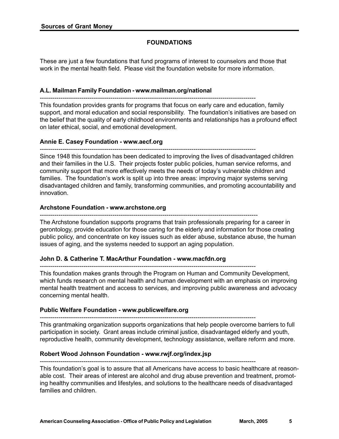# **FOUNDATIONS**

These are just a few foundations that fund programs of interest to counselors and those that work in the mental health field. Please visit the foundation website for more information.

#### **A.L. Mailman Family Foundation - www.mailman.org/national**

This foundation provides grants for programs that focus on early care and education, family support, and moral education and social responsibility. The foundation's initiatives are based on the belief that the quality of early childhood environments and relationships has a profound effect on later ethical, social, and emotional development.

 $-$ 

#### **Annie E. Casey Foundation - www.aecf.org**

--------------------------------------------------------------------------------------------------------

Since 1948 this foundation has been dedicated to improving the lives of disadvantaged children and their families in the U.S. Their projects foster public policies, human service reforms, and community support that more effectively meets the needs of today's vulnerable children and families. The foundation's work is split up into three areas: improving major systems serving disadvantaged children and family, transforming communities, and promoting accountability and innovation.

#### **Archstone Foundation - www.archstone.org**

---------------------------------------------------------------------------------------------------------

The Archstone foundation supports programs that train professionals preparing for a career in gerontology, provide education for those caring for the elderly and information for those creating public policy, and concentrate on key issues such as elder abuse, substance abuse, the human issues of aging, and the systems needed to support an aging population.

#### **John D. & Catherine T. MacArthur Foundation - www.macfdn.org**

--------------------------------------------------------------------------------------------------------

This foundation makes grants through the Program on Human and Community Development, which funds research on mental health and human development with an emphasis on improving mental health treatment and access to services, and improving public awareness and advocacy concerning mental health.

#### **Public Welfare Foundation - www.publicwelfare.org**

-------------------------------------------------------------------------------------------------------- This grantmaking organization supports organizations that help people overcome barriers to full participation in society. Grant areas include criminal justice, disadvantaged elderly and youth, reproductive health, community development, technology assistance, welfare reform and more.

#### **Robert Wood Johnson Foundation - www.rwjf.org/index.jsp**

--------------------------------------------------------------------------------------------------------

This foundation's goal is to assure that all Americans have access to basic healthcare at reasonable cost. Their areas of interest are alcohol and drug abuse prevention and treatment, promoting healthy communities and lifestyles, and solutions to the healthcare needs of disadvantaged families and children.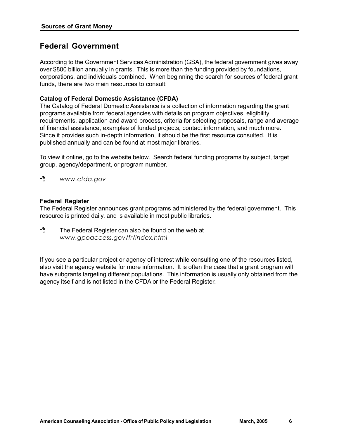# **Federal Government**

According to the Government Services Administration (GSA), the federal government gives away over \$800 billion annually in grants. This is more than the funding provided by foundations, corporations, and individuals combined. When beginning the search for sources of federal grant funds, there are two main resources to consult:

#### **Catalog of Federal Domestic Assistance (CFDA)**

The Catalog of Federal Domestic Assistance is a collection of information regarding the grant programs available from federal agencies with details on program objectives, eligibility requirements, application and award process, criteria for selecting proposals, range and average of financial assistance, examples of funded projects, contact information, and much more. Since it provides such in-depth information, it should be the first resource consulted. It is published annually and can be found at most major libraries.

To view it online, go to the website below. Search federal funding programs by subject, target group, agency/department, or program number.

*www.cfda.gov*

#### **Federal Register**

The Federal Register announces grant programs administered by the federal government. This resource is printed daily, and is available in most public libraries.

 $\Theta$  The Federal Register can also be found on the web at *www.gpoaccess.gov/fr/index.html*

If you see a particular project or agency of interest while consulting one of the resources listed, also visit the agency website for more information. It is often the case that a grant program will have subgrants targeting different populations. This information is usually only obtained from the agency itself and is not listed in the CFDA or the Federal Register.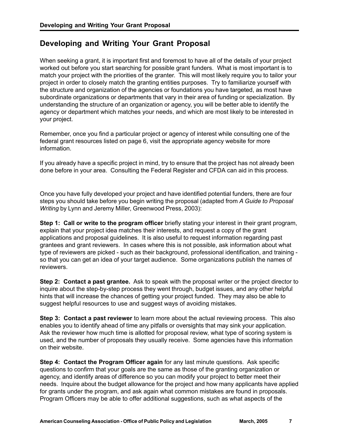# **Developing and Writing Your Grant Proposal**

When seeking a grant, it is important first and foremost to have all of the details of your project worked out before you start searching for possible grant funders. What is most important is to match your project with the priorities of the granter. This will most likely require you to tailor your project in order to closely match the granting entities purposes. Try to familiarize yourself with the structure and organization of the agencies or foundations you have targeted, as most have subordinate organizations or departments that vary in their area of funding or specialization. By understanding the structure of an organization or agency, you will be better able to identify the agency or department which matches your needs, and which are most likely to be interested in your project.

Remember, once you find a particular project or agency of interest while consulting one of the federal grant resources listed on page 6, visit the appropriate agency website for more information.

If you already have a specific project in mind, try to ensure that the project has not already been done before in your area. Consulting the Federal Register and CFDA can aid in this process.

Once you have fully developed your project and have identified potential funders, there are four steps you should take before you begin writing the proposal (adapted from *A Guide to Proposal Writing* by Lynn and Jeremy Miller, Greenwood Press, 2003):

**Step 1: Call or write to the program officer** briefly stating your interest in their grant program, explain that your project idea matches their interests, and request a copy of the grant applications and proposal guidelines. It is also useful to request information regarding past grantees and grant reviewers. In cases where this is not possible, ask information about what type of reviewers are picked - such as their background, professional identification, and training so that you can get an idea of your target audience. Some organizations publish the names of reviewers.

**Step 2: Contact a past grantee.** Ask to speak with the proposal writer or the project director to inquire about the step-by-step process they went through, budget issues, and any other helpful hints that will increase the chances of getting your project funded. They may also be able to suggest helpful resources to use and suggest ways of avoiding mistakes.

**Step 3: Contact a past reviewer** to learn more about the actual reviewing process. This also enables you to identify ahead of time any pitfalls or oversights that may sink your application. Ask the reviewer how much time is allotted for proposal review, what type of scoring system is used, and the number of proposals they usually receive. Some agencies have this information on their website.

**Step 4: Contact the Program Officer again** for any last minute questions. Ask specific questions to confirm that your goals are the same as those of the granting organization or agency, and identify areas of difference so you can modify your project to better meet their needs. Inquire about the budget allowance for the project and how many applicants have applied for grants under the program, and ask again what common mistakes are found in proposals. Program Officers may be able to offer additional suggestions, such as what aspects of the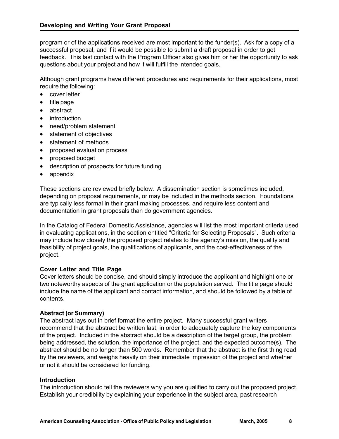program or of the applications received are most important to the funder(s). Ask for a copy of a successful proposal, and if it would be possible to submit a draft proposal in order to get feedback. This last contact with the Program Officer also gives him or her the opportunity to ask questions about your project and how it will fulfill the intended goals.

Although grant programs have different procedures and requirements for their applications, most require the following:

- cover letter
- title page
- abstract
- introduction
- need/problem statement
- statement of objectives
- statement of methods
- proposed evaluation process
- proposed budget
- description of prospects for future funding
- appendix

These sections are reviewed briefly below. A dissemination section is sometimes included, depending on proposal requirements, or may be included in the methods section. Foundations are typically less formal in their grant making processes, and require less content and documentation in grant proposals than do government agencies.

In the Catalog of Federal Domestic Assistance, agencies will list the most important criteria used in evaluating applications, in the section entitled "Criteria for Selecting Proposals". Such criteria may include how closely the proposed project relates to the agency's mission, the quality and feasibility of project goals, the qualifications of applicants, and the cost-effectiveness of the project.

#### **Cover Letter and Title Page**

Cover letters should be concise, and should simply introduce the applicant and highlight one or two noteworthy aspects of the grant application or the population served. The title page should include the name of the applicant and contact information, and should be followed by a table of contents.

#### **Abstract (or Summary)**

The abstract lays out in brief format the entire project. Many successful grant writers recommend that the abstract be written last, in order to adequately capture the key components of the project. Included in the abstract should be a description of the target group, the problem being addressed, the solution, the importance of the project, and the expected outcome(s). The abstract should be no longer than 500 words. Remember that the abstract is the first thing read by the reviewers, and weighs heavily on their immediate impression of the project and whether or not it should be considered for funding.

#### **Introduction**

The introduction should tell the reviewers why you are qualified to carry out the proposed project. Establish your credibility by explaining your experience in the subject area, past research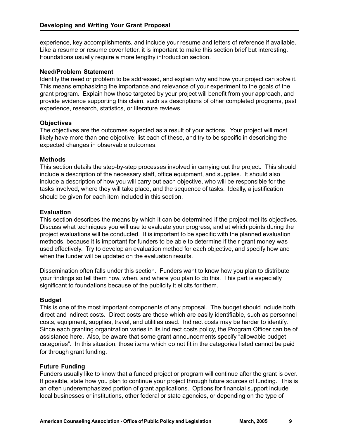experience, key accomplishments, and include your resume and letters of reference if available. Like a resume or resume cover letter, it is important to make this section brief but interesting. Foundations usually require a more lengthy introduction section.

#### **Need/Problem Statement**

Identify the need or problem to be addressed, and explain why and how your project can solve it. This means emphasizing the importance and relevance of your experiment to the goals of the grant program. Explain how those targeted by your project will benefit from your approach, and provide evidence supporting this claim, such as descriptions of other completed programs, past experience, research, statistics, or literature reviews.

#### **Objectives**

The objectives are the outcomes expected as a result of your actions. Your project will most likely have more than one objective; list each of these, and try to be specific in describing the expected changes in observable outcomes.

#### **Methods**

This section details the step-by-step processes involved in carrying out the project. This should include a description of the necessary staff, office equipment, and supplies. It should also include a description of how you will carry out each objective, who will be responsible for the tasks involved, where they will take place, and the sequence of tasks. Ideally, a justification should be given for each item included in this section.

#### **Evaluation**

This section describes the means by which it can be determined if the project met its objectives. Discuss what techniques you will use to evaluate your progress, and at which points during the project evaluations will be conducted. It is important to be specific with the planned evaluation methods, because it is important for funders to be able to determine if their grant money was used effectively. Try to develop an evaluation method for each objective, and specify how and when the funder will be updated on the evaluation results.

Dissemination often falls under this section. Funders want to know how you plan to distribute your findings so tell them how, when, and where you plan to do this. This part is especially significant to foundations because of the publicity it elicits for them.

#### **Budget**

This is one of the most important components of any proposal. The budget should include both direct and indirect costs. Direct costs are those which are easily identifiable, such as personnel costs, equipment, supplies, travel, and utilities used. Indirect costs may be harder to identify. Since each granting organization varies in its indirect costs policy, the Program Officer can be of assistance here. Also, be aware that some grant announcements specify "allowable budget categories". In this situation, those items which do not fit in the categories listed cannot be paid for through grant funding.

#### **Future Funding**

Funders usually like to know that a funded project or program will continue after the grant is over. If possible, state how you plan to continue your project through future sources of funding. This is an often underemphasized portion of grant applications. Options for financial support include local businesses or institutions, other federal or state agencies, or depending on the type of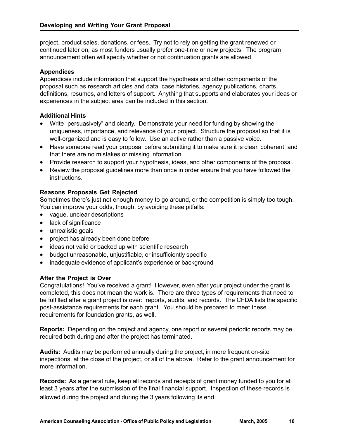project, product sales, donations, or fees. Try not to rely on getting the grant renewed or continued later on, as most funders usually prefer one-time or new projects. The program announcement often will specify whether or not continuation grants are allowed.

#### **Appendices**

Appendices include information that support the hypothesis and other components of the proposal such as research articles and data, case histories, agency publications, charts, definitions, resumes, and letters of support. Anything that supports and elaborates your ideas or experiences in the subject area can be included in this section.

#### **Additional Hints**

- Write "persuasively" and clearly. Demonstrate your need for funding by showing the uniqueness, importance, and relevance of your project. Structure the proposal so that it is well-organized and is easy to follow. Use an active rather than a passive voice.
- Have someone read your proposal before submitting it to make sure it is clear, coherent, and that there are no mistakes or missing information.
- Provide research to support your hypothesis, ideas, and other components of the proposal.
- Review the proposal guidelines more than once in order ensure that you have followed the **instructions**

#### **Reasons Proposals Get Rejected**

Sometimes there's just not enough money to go around, or the competition is simply too tough. You can improve your odds, though, by avoiding these pitfalls:

- vague, unclear descriptions
- lack of significance
- unrealistic goals
- project has already been done before
- ideas not valid or backed up with scientific research
- budget unreasonable, unjustifiable, or insufficiently specific
- inadequate evidence of applicant's experience or background

#### **After the Project is Over**

Congratulations! You've received a grant! However, even after your project under the grant is completed, this does not mean the work is. There are three types of requirements that need to be fulfilled after a grant project is over: reports, audits, and records. The CFDA lists the specific post-assistance requirements for each grant. You should be prepared to meet these requirements for foundation grants, as well.

**Reports:** Depending on the project and agency, one report or several periodic reports may be required both during and after the project has terminated.

**Audits:** Audits may be performed annually during the project, in more frequent on-site inspections, at the close of the project, or all of the above. Refer to the grant announcement for more information.

**Records:** As a general rule, keep all records and receipts of grant money funded to you for at least 3 years after the submission of the final financial support. Inspection of these records is allowed during the project and during the 3 years following its end.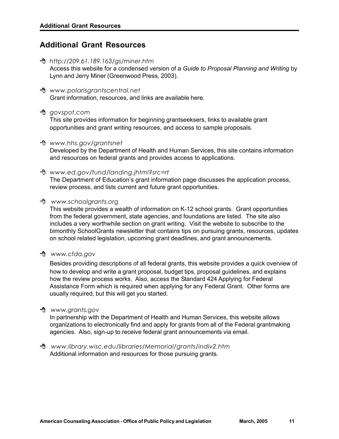# **Additional Grant Resources**

*http://209.61.189.163/gs/miner.htm*

Access this website for a condensed version of a *Guide to Proposal Planning and Writing* by Lynn and Jerry Miner (Greenwood Press, 2003).

*www.polarisgrantscentral.net*

Grant information, resources, and links are available here.

#### *govspot.com*

This site provides information for beginning grantseeksers, links to available grant opportunities and grant writing resources, and access to sample proposals.

#### *www.hhs.gov/grantsnet*

Developed by the Department of Health and Human Services, this site contains information and resources on federal grants and provides access to applications.

*www.ed.gov/fund/landing.jhtml?src=rt*

The Department of Education's grant information page discusses the application process, review process, and lists current and future grant opportunities.

#### *www.schoolgrants.org*

This website provides a wealth of information on K-12 school grants. Grant opportunities from the federal government, state agencies, and foundations are listed. The site also includes a very worthwhile section on grant writing. Visit the website to subscribe to the bimonthly SchoolGrants newsletter that contains tips on pursuing grants, resources, updates on school related legislation, upcoming grant deadlines, and grant announcements.

## *www.cfda.gov*

Besides providing descriptions of all federal grants, this website provides a quick overview of how to develop and write a grant proposal, budget tips, proposal guidelines, and explains how the review process works. Also, access the Standard 424 Applying for Federal Assistance Form which is required when applying for any Federal Grant. Other forms are usually required, but this will get you started.

#### *www.grants.gov*

In partnership with the Department of Health and Human Services, this website allows organizations to electronically find and apply for grants from all of the Federal grantmaking agencies. Also, sign-up to receive federal grant announcements via email.

 *www.library.wisc.edu/libraries/Memorial/grants/indiv2.htm* Additional information and resources for those pursuing grants.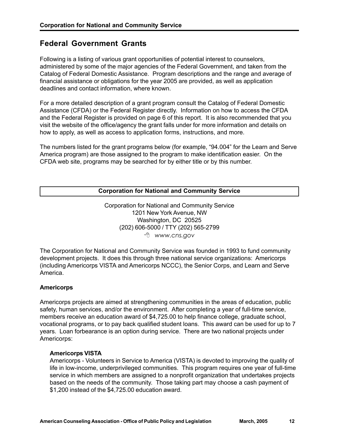# **Federal Government Grants**

Following is a listing of various grant opportunities of potential interest to counselors, administered by some of the major agencies of the Federal Government, and taken from the Catalog of Federal Domestic Assistance. Program descriptions and the range and average of financial assistance or obligations for the year 2005 are provided, as well as application deadlines and contact information, where known.

For a more detailed description of a grant program consult the Catalog of Federal Domestic Assistance (CFDA) or the Federal Register directly. Information on how to access the CFDA and the Federal Register is provided on page 6 of this report. It is also recommended that you visit the website of the office/agency the grant falls under for more information and details on how to apply, as well as access to application forms, instructions, and more.

The numbers listed for the grant programs below (for example, "94.004" for the Learn and Serve America program) are those assigned to the program to make identification easier. On the CFDA web site, programs may be searched for by either title or by this number.

#### **Corporation for National and Community Service**

Corporation for National and Community Service 1201 New York Avenue, NW Washington, DC 20525 (202) 606-5000 / TTY (202) 565-2799 *www.cns.gov*

The Corporation for National and Community Service was founded in 1993 to fund community development projects. It does this through three national service organizations: Americorps (including Americorps VISTA and Americorps NCCC), the Senior Corps, and Learn and Serve America.

#### **Americorps**

Americorps projects are aimed at strengthening communities in the areas of education, public safety, human services, and/or the environment. After completing a year of full-time service, members receive an education award of \$4,725.00 to help finance college, graduate school, vocational programs, or to pay back qualified student loans. This award can be used for up to 7 years. Loan forbearance is an option during service. There are two national projects under Americorps:

#### **Americorps VISTA**

Americorps - Volunteers in Service to America (VISTA) is devoted to improving the quality of life in low-income, underprivileged communities. This program requires one year of full-time service in which members are assigned to a nonprofit organization that undertakes projects based on the needs of the community. Those taking part may choose a cash payment of \$1,200 instead of the \$4,725.00 education award.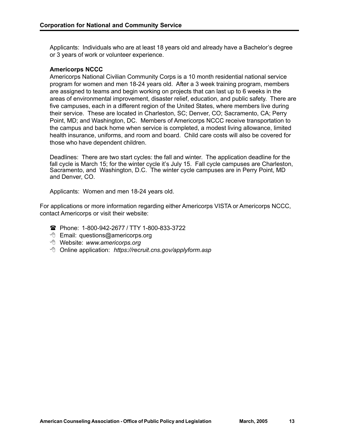Applicants: Individuals who are at least 18 years old and already have a Bachelor's degree or 3 years of work or volunteer experience.

#### **Americorps NCCC**

Americorps National Civilian Community Corps is a 10 month residential national service program for women and men 18-24 years old. After a 3 week training program, members are assigned to teams and begin working on projects that can last up to 6 weeks in the areas of environmental improvement, disaster relief, education, and public safety. There are five campuses, each in a different region of the United States, where members live during their service. These are located in Charleston, SC; Denver, CO; Sacramento, CA; Perry Point, MD; and Washington, DC. Members of Americorps NCCC receive transportation to the campus and back home when service is completed, a modest living allowance, limited health insurance, uniforms, and room and board. Child care costs will also be covered for those who have dependent children.

Deadlines: There are two start cycles: the fall and winter. The application deadline for the fall cycle is March 15; for the winter cycle it's July 15. Fall cycle campuses are Charleston, Sacramento, and Washington, D.C. The winter cycle campuses are in Perry Point, MD and Denver, CO.

Applicants: Women and men 18-24 years old.

For applications or more information regarding either Americorps VISTA or Americorps NCCC, contact Americorps or visit their website:

- Phone: 1-800-942-2677 / TTY 1-800-833-3722
- **<sup>t</sup>** Email: questions@americorps.org
- Website: *www.americorps.org*
- Online application: *https://recruit.cns.gov/applyform.asp*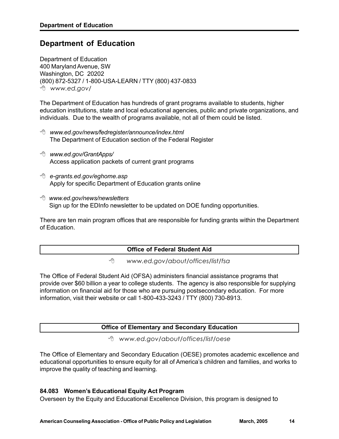# **Department of Education**

Department of Education 400 Maryland Avenue, SW Washington, DC 20202 (800) 872-5327 / 1-800-USA-LEARN / TTY (800) 437-0833 *www.ed.gov/*

The Department of Education has hundreds of grant programs available to students, higher education institutions, state and local educational agencies, public and private organizations, and individuals. Due to the wealth of programs available, not all of them could be listed.

- *www.ed.gov/news/fedregister/announce/index.html* The Department of Education section of the Federal Register
- *www.ed.gov/GrantApps/* Access application packets of current grant programs
- *e-grants.ed.gov/eghome.asp* Apply for specific Department of Education grants online
- *www.ed.gov/news/newsletters* Sign up for the EDInfo newsletter to be updated on DOE funding opportunities.

There are ten main program offices that are responsible for funding grants within the Department of Education.

#### **Office of Federal Student Aid**

*www.ed.gov/about/offices/list/fsa*

The Office of Federal Student Aid (OFSA) administers financial assistance programs that provide over \$60 billion a year to college students. The agency is also responsible for supplying information on financial aid for those who are pursuing postsecondary education. For more information, visit their website or call 1-800-433-3243 / TTY (800) 730-8913.

#### **Office of Elementary and Secondary Education**

*www.ed.gov/about/offices/list/oese*

The Office of Elementary and Secondary Education (OESE) promotes academic excellence and educational opportunities to ensure equity for all of America's children and families, and works to improve the quality of teaching and learning.

#### **84.083 Women's Educational Equity Act Program**

Overseen by the Equity and Educational Excellence Division, this program is designed to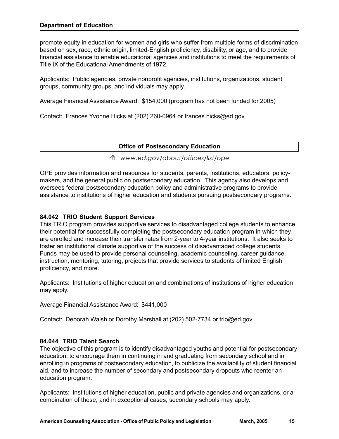promote equity in education for women and girls who suffer from multiple forms of discrimination based on sex, race, ethnic origin, limited-English proficiency, disability, or age, and to provide financial assistance to enable educational agencies and institutions to meet the requirements of Title IX of the Educational Amendments of 1972.

Applicants: Public agencies, private nonprofit agencies, institutions, organizations, student groups, community groups, and individuals may apply.

Average Financial Assistance Award: \$154,000 (program has not been funded for 2005)

Contact: Frances Yvonne Hicks at (202) 260-0964 or frances.hicks@ed.gov

#### **Office of Postsecondary Education**

*www.ed.gov/about/offices/list/ope*

OPE provides information and resources for students, parents, institutions, educators, policymakers, and the general public on postsecondary education. This agency also develops and oversees federal postsecondary education policy and administrative programs to provide assistance to institutions of higher education and students pursuing postsecondary programs.

#### **84.042 TRIO Student Support Services**

This TRIO program provides supportive services to disadvantaged college students to enhance their potential for successfully completing the postsecondary education program in which they are enrolled and increase their transfer rates from 2-year to 4-year institutions. It also seeks to foster an institutional climate supportive of the success of disadvantaged college students. Funds may be used to provide personal counseling, academic counseling, career guidance, instruction, mentoring, tutoring, projects that provide services to students of limited English proficiency, and more.

Applicants: Institutions of higher education and combinations of institutions of higher education may apply.

Average Financial Assistance Award: \$441,000

Contact: Deborah Walsh or Dorothy Marshall at (202) 502-7734 or trio@ed.gov

#### **84.044 TRIO Talent Search**

The objective of this program is to identify disadvantaged youths and potential for postsecondary education, to encourage them in continuing in and graduating from secondary school and in enrolling in programs of postsecondary education, to publicize the availability of student financial aid, and to increase the number of secondary and postsecondary dropouts who reenter an education program.

Applicants: Institutions of higher education, public and private agencies and organizations, or a combination of these, and in exceptional cases, secondary schools may apply.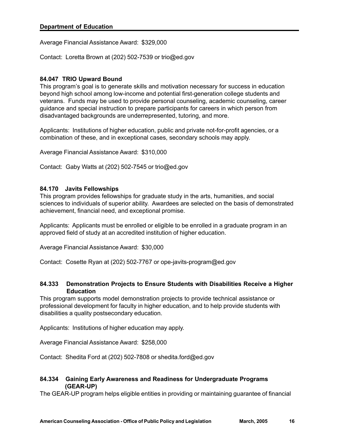Average Financial Assistance Award: \$329,000

Contact: Loretta Brown at (202) 502-7539 or trio@ed.gov

#### **84.047 TRIO Upward Bound**

This program's goal is to generate skills and motivation necessary for success in education beyond high school among low-income and potential first-generation college students and veterans. Funds may be used to provide personal counseling, academic counseling, career guidance and special instruction to prepare participants for careers in which person from disadvantaged backgrounds are underrepresented, tutoring, and more.

Applicants: Institutions of higher education, public and private not-for-profit agencies, or a combination of these, and in exceptional cases, secondary schools may apply.

Average Financial Assistance Award: \$310,000

Contact: Gaby Watts at (202) 502-7545 or trio@ed.gov

#### **84.170 Javits Fellowships**

This program provides fellowships for graduate study in the arts, humanities, and social sciences to individuals of superior ability. Awardees are selected on the basis of demonstrated achievement, financial need, and exceptional promise.

Applicants: Applicants must be enrolled or eligible to be enrolled in a graduate program in an approved field of study at an accredited institution of higher education.

Average Financial Assistance Award: \$30,000

Contact: Cosette Ryan at (202) 502-7767 or ope-javits-program@ed.gov

#### **84.333 Demonstration Projects to Ensure Students with Disabilities Receive a Higher Education**

This program supports model demonstration projects to provide technical assistance or professional development for faculty in higher education, and to help provide students with disabilities a quality postsecondary education.

Applicants: Institutions of higher education may apply.

Average Financial Assistance Award: \$258,000

Contact: Shedita Ford at (202) 502-7808 or shedita.ford@ed.gov

#### **84.334 Gaining Early Awareness and Readiness for Undergraduate Programs (GEAR-UP)**

The GEAR-UP program helps eligible entities in providing or maintaining guarantee of financial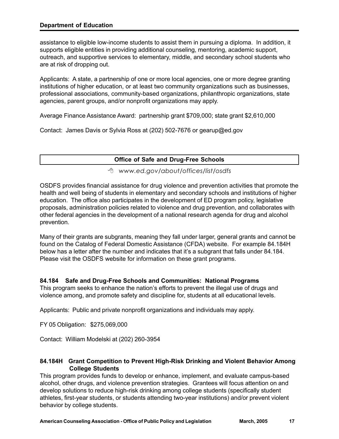assistance to eligible low-income students to assist them in pursuing a diploma. In addition, it supports eligible entities in providing additional counseling, mentoring, academic support, outreach, and supportive services to elementary, middle, and secondary school students who are at risk of dropping out.

Applicants: A state, a partnership of one or more local agencies, one or more degree granting institutions of higher education, or at least two community organizations such as businesses, professional associations, community-based organizations, philanthropic organizations, state agencies, parent groups, and/or nonprofit organizations may apply.

Average Finance Assistance Award: partnership grant \$709,000; state grant \$2,610,000

Contact: James Davis or Sylvia Ross at (202) 502-7676 or gearup@ed.gov

**Office of Safe and Drug-Free Schools**

*www.ed.gov/about/offices/list/osdfs*

OSDFS provides financial assistance for drug violence and prevention activities that promote the health and well being of students in elementary and secondary schools and institutions of higher education. The office also participates in the development of ED program policy, legislative proposals, administration policies related to violence and drug prevention, and collaborates with other federal agencies in the development of a national research agenda for drug and alcohol prevention.

Many of their grants are subgrants, meaning they fall under larger, general grants and cannot be found on the Catalog of Federal Domestic Assistance (CFDA) website. For example 84.184H below has a letter after the number and indicates that it's a subgrant that falls under 84.184. Please visit the OSDFS website for information on these grant programs.

## **84.184 Safe and Drug-Free Schools and Communities: National Programs**

This program seeks to enhance the nation's efforts to prevent the illegal use of drugs and violence among, and promote safety and discipline for, students at all educational levels.

Applicants: Public and private nonprofit organizations and individuals may apply.

FY 05 Obligation: \$275,069,000

Contact: William Modelski at (202) 260-3954

### **84.184H Grant Competition to Prevent High-Risk Drinking and Violent Behavior Among College Students**

This program provides funds to develop or enhance, implement, and evaluate campus-based alcohol, other drugs, and violence prevention strategies. Grantees will focus attention on and develop solutions to reduce high-risk drinking among college students (specifically student athletes, first-year students, or students attending two-year institutions) and/or prevent violent behavior by college students.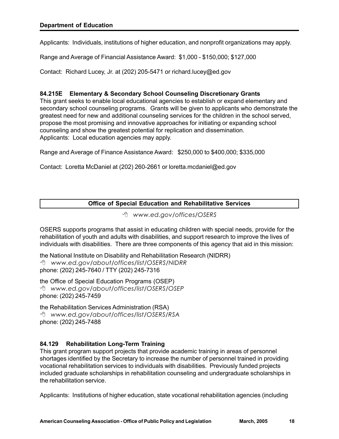Applicants: Individuals, institutions of higher education, and nonprofit organizations may apply.

Range and Average of Financial Assistance Award: \$1,000 - \$150,000; \$127,000

Contact: Richard Lucey, Jr. at (202) 205-5471 or richard.lucey@ed.gov

#### **84.215E Elementary & Secondary School Counseling Discretionary Grants**

This grant seeks to enable local educational agencies to establish or expand elementary and secondary school counseling programs. Grants will be given to applicants who demonstrate the greatest need for new and additional counseling services for the children in the school served, propose the most promising and innovative approaches for initiating or expanding school counseling and show the greatest potential for replication and dissemination. Applicants: Local education agencies may apply.

Range and Average of Finance Assistance Award: \$250,000 to \$400,000; \$335,000

Contact: Loretta McDaniel at (202) 260-2661 or loretta.mcdaniel@ed.gov

#### **Office of Special Education and Rehabilitative Services**

 *www.ed.gov/offices/OSERS*

OSERS supports programs that assist in educating children with special needs, provide for the rehabilitation of youth and adults with disabilities, and support research to improve the lives of individuals with disabilities. There are three components of this agency that aid in this mission:

the National Institute on Disability and Rehabilitation Research (NIDRR) *www.ed.gov/about/offices/list/OSERS/NIDRR* phone: (202) 245-7640 / TTY (202) 245-7316

the Office of Special Education Programs (OSEP) *www.ed.gov/about/offices/list/OSERS/OSEP* phone: (202) 245-7459

the Rehabilitation Services Administration (RSA) *www.ed.gov/about/offices/list/OSERS/RSA* phone: (202) 245-7488

#### **84.129 Rehabilitation Long-Term Training**

This grant program support projects that provide academic training in areas of personnel shortages identified by the Secretary to increase the number of personnel trained in providing vocational rehabilitation services to individuals with disabilities. Previously funded projects included graduate scholarships in rehabilitation counseling and undergraduate scholarships in the rehabilitation service.

Applicants: Institutions of higher education, state vocational rehabilitation agencies (including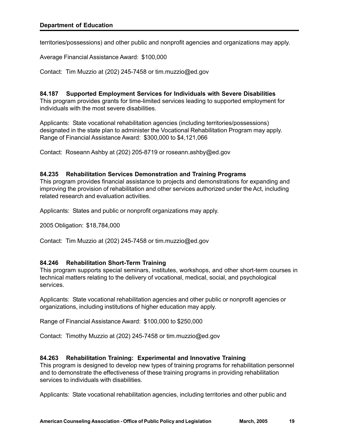territories/possessions) and other public and nonprofit agencies and organizations may apply.

Average Financial Assistance Award: \$100,000

Contact: Tim Muzzio at (202) 245-7458 or tim.muzzio@ed.gov

#### **84.187 Supported Employment Services for Individuals with Severe Disabilities** This program provides grants for time-limited services leading to supported employment for individuals with the most severe disabilities.

Applicants: State vocational rehabilitation agencies (including territories/possessions) designated in the state plan to administer the Vocational Rehabilitation Program may apply. Range of Financial Assistance Award: \$300,000 to \$4,121,066

Contact: Roseann Ashby at (202) 205-8719 or roseann.ashby@ed.gov

#### **84.235 Rehabilitation Services Demonstration and Training Programs**

This program provides financial assistance to projects and demonstrations for expanding and improving the provision of rehabilitation and other services authorized under the Act, including related research and evaluation activities.

Applicants: States and public or nonprofit organizations may apply.

2005 Obligation: \$18,784,000

Contact: Tim Muzzio at (202) 245-7458 or tim.muzzio@ed.gov

#### **84.246 Rehabilitation Short-Term Training**

This program supports special seminars, institutes, workshops, and other short-term courses in technical matters relating to the delivery of vocational, medical, social, and psychological services.

Applicants: State vocational rehabilitation agencies and other public or nonprofit agencies or organizations, including institutions of higher education may apply.

Range of Financial Assistance Award: \$100,000 to \$250,000

Contact: Timothy Muzzio at (202) 245-7458 or tim.muzzio@ed.gov

#### **84.263 Rehabilitation Training: Experimental and Innovative Training**

This program is designed to develop new types of training programs for rehabilitation personnel and to demonstrate the effectiveness of these training programs in providing rehabilitation services to individuals with disabilities.

Applicants: State vocational rehabilitation agencies, including territories and other public and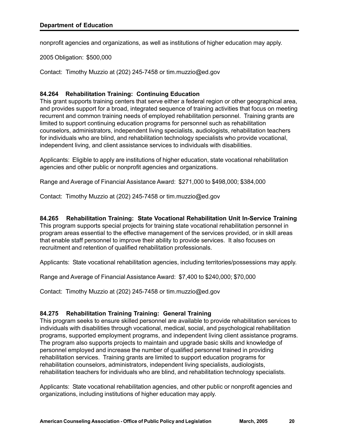nonprofit agencies and organizations, as well as institutions of higher education may apply.

2005 Obligation: \$500,000

Contact: Timothy Muzzio at (202) 245-7458 or tim.muzzio@ed.gov

### **84.264 Rehabilitation Training: Continuing Education**

This grant supports training centers that serve either a federal region or other geographical area, and provides support for a broad, integrated sequence of training activities that focus on meeting recurrent and common training needs of employed rehabilitation personnel. Training grants are limited to support continuing education programs for personnel such as rehabilitation counselors, administrators, independent living specialists, audiologists, rehabilitation teachers for individuals who are blind, and rehabilitation technology specialists who provide vocational, independent living, and client assistance services to individuals with disabilities.

Applicants: Eligible to apply are institutions of higher education, state vocational rehabilitation agencies and other public or nonprofit agencies and organizations.

Range and Average of Financial Assistance Award: \$271,000 to \$498,000; \$384,000

Contact: Timothy Muzzio at (202) 245-7458 or tim.muzzio@ed.gov

### **84.265 Rehabilitation Training: State Vocational Rehabilitation Unit In-Service Training**

This program supports special projects for training state vocational rehabilitation personnel in program areas essential to the effective management of the services provided, or in skill areas that enable staff personnel to improve their ability to provide services. It also focuses on recruitment and retention of qualified rehabilitation professionals.

Applicants: State vocational rehabilitation agencies, including territories/possessions may apply.

Range and Average of Financial Assistance Award: \$7,400 to \$240,000; \$70,000

Contact: Timothy Muzzio at (202) 245-7458 or tim.muzzio@ed.gov

#### **84.275 Rehabilitation Training Training: General Training**

This program seeks to ensure skilled personnel are available to provide rehabilitation services to individuals with disabilities through vocational, medical, social, and psychological rehabilitation programs, supported employment programs, and independent living client assistance programs. The program also supports projects to maintain and upgrade basic skills and knowledge of personnel employed and increase the number of qualified personnel trained in providing rehabilitation services. Training grants are limited to support education programs for rehabilitation counselors, administrators, independent living specialists, audiologists, rehabilitation teachers for individuals who are blind, and rehabilitation technology specialists.

Applicants: State vocational rehabilitation agencies, and other public or nonprofit agencies and organizations, including institutions of higher education may apply.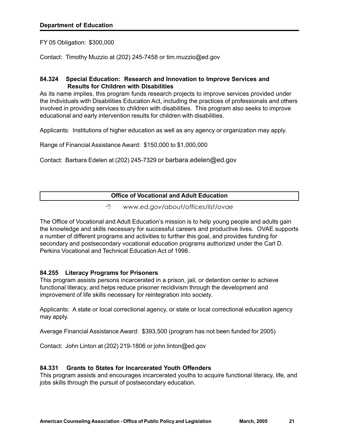FY 05 Obligation: \$300,000

Contact: Timothy Muzzio at (202) 245-7458 or tim.muzzio@ed.gov

#### **84.324 Special Education: Research and Innovation to Improve Services and Results for Children with Disabilities**

As its name implies, this program funds research projects to improve services provided under the Individuals with Disabilities Education Act, including the practices of professionals and others involved in providing services to children with disabilities. This program also seeks to improve educational and early intervention results for children with disabilities.

Applicants: Institutions of higher education as well as any agency or organization may apply.

Range of Financial Assistance Award: \$150,000 to \$1,000,000

Contact: Barbara Edelen at (202) 245-7329 or barbara.edelen@ed.gov

#### **Office of Vocational and Adult Education**

#### *www.ed.gov/about/offices/list/ovae*

The Office of Vocational and Adult Education's mission is to help young people and adults gain the knowledge and skills necessary for successful careers and productive lives. OVAE supports a number of different programs and activities to further this goal, and provides funding for secondary and postsecondary vocational education programs authorized under the Carl D. Perkins Vocational and Technical Education Act of 1998.

#### **84.255 Literacy Programs for Prisoners**

This program assists persons incarcerated in a prison, jail, or detention center to achieve functional literacy, and helps reduce prisoner recidivism through the development and improvement of life skills necessary for reintegration into society.

Applicants: A state or local correctional agency, or state or local correctional education agency may apply.

Average Financial Assistance Award: \$393,500 (program has not been funded for 2005)

Contact: John Linton at (202) 219-1806 or john.linton@ed.gov

#### **84.331 Grants to States for Incarcerated Youth Offenders**

This program assists and encourages incarcerated youths to acquire functional literacy, life, and jobs skills through the pursuit of postsecondary education.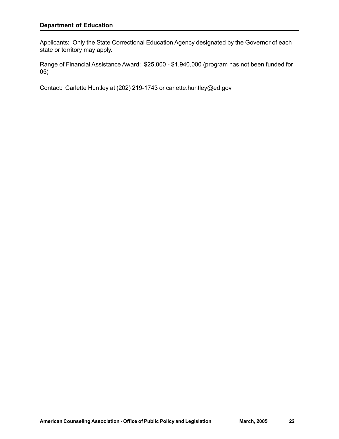Applicants: Only the State Correctional Education Agency designated by the Governor of each state or territory may apply.

Range of Financial Assistance Award: \$25,000 - \$1,940,000 (program has not been funded for 05)

Contact: Carlette Huntley at (202) 219-1743 or carlette.huntley@ed.gov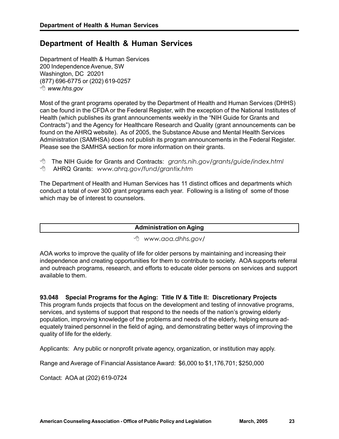# **Department of Health & Human Services**

Department of Health & Human Services 200 Independence Avenue, SW Washington, DC 20201 (877) 696-6775 or (202) 619-0257 *www.hhs.gov*

Most of the grant programs operated by the Department of Health and Human Services (DHHS) can be found in the CFDA or the Federal Register, with the exception of the National Institutes of Health (which publishes its grant announcements weekly in the "NIH Guide for Grants and Contracts") and the Agency for Healthcare Research and Quality (grant announcements can be found on the AHRQ website). As of 2005, the Substance Abuse and Mental Health Services Administration (SAMHSA) does not publish its program announcements in the Federal Register. Please see the SAMHSA section for more information on their grants.

- The NIH Guide for Grants and Contracts: *grants.nih.gov/grants/guide/index.html*
- AHRQ Grants: *www.ahrq.gov/fund/grantix.htm*

The Department of Health and Human Services has 11 distinct offices and departments which conduct a total of over 300 grant programs each year. Following is a listing of some of those which may be of interest to counselors.

#### **Administration on Aging**

#### *www.aoa.dhhs.gov/*

AOA works to improve the quality of life for older persons by maintaining and increasing their independence and creating opportunities for them to contribute to society. AOA supports referral and outreach programs, research, and efforts to educate older persons on services and support available to them.

#### **93.048 Special Programs for the Aging: Title IV & Title II: Discretionary Projects**

This program funds projects that focus on the development and testing of innovative programs, services, and systems of support that respond to the needs of the nation's growing elderly population, improving knowledge of the problems and needs of the elderly, helping ensure adequately trained personnel in the field of aging, and demonstrating better ways of improving the quality of life for the elderly.

Applicants: Any public or nonprofit private agency, organization, or institution may apply.

Range and Average of Financial Assistance Award: \$6,000 to \$1,176,701; \$250,000

Contact: AOA at (202) 619-0724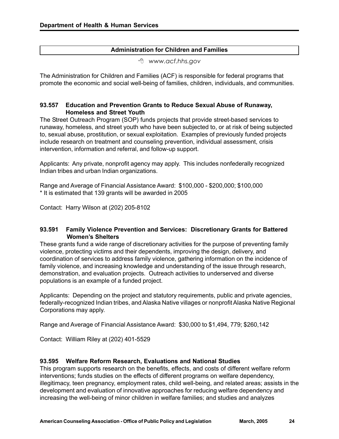#### **Administration for Children and Families**

*www.acf.hhs.gov*

The Administration for Children and Families (ACF) is responsible for federal programs that promote the economic and social well-being of families, children, individuals, and communities.

#### **93.557 Education and Prevention Grants to Reduce Sexual Abuse of Runaway, Homeless and Street Youth**

The Street Outreach Program (SOP) funds projects that provide street-based services to runaway, homeless, and street youth who have been subjected to, or at risk of being subjected to, sexual abuse, prostitution, or sexual exploitation. Examples of previously funded projects include research on treatment and counseling prevention, individual assessment, crisis intervention, information and referral, and follow-up support.

Applicants: Any private, nonprofit agency may apply. This includes nonfederally recognized Indian tribes and urban Indian organizations.

Range and Average of Financial Assistance Award: \$100,000 - \$200,000; \$100,000 \* It is estimated that 139 grants will be awarded in 2005

Contact: Harry Wilson at (202) 205-8102

#### **93.591 Family Violence Prevention and Services: Discretionary Grants for Battered Women's Shelters**

These grants fund a wide range of discretionary activities for the purpose of preventing family violence, protecting victims and their dependents, improving the design, delivery, and coordination of services to address family violence, gathering information on the incidence of family violence, and increasing knowledge and understanding of the issue through research, demonstration, and evaluation projects. Outreach activities to underserved and diverse populations is an example of a funded project.

Applicants: Depending on the project and statutory requirements, public and private agencies, federally-recognized Indian tribes, and Alaska Native villages or nonprofit Alaska Native Regional Corporations may apply.

Range and Average of Financial Assistance Award: \$30,000 to \$1,494, 779; \$260,142

Contact: William Riley at (202) 401-5529

#### **93.595 Welfare Reform Research, Evaluations and National Studies**

This program supports research on the benefits, effects, and costs of different welfare reform interventions; funds studies on the effects of different programs on welfare dependency, illegitimacy, teen pregnancy, employment rates, child well-being, and related areas; assists in the development and evaluation of innovative approaches for reducing welfare dependency and increasing the well-being of minor children in welfare families; and studies and analyzes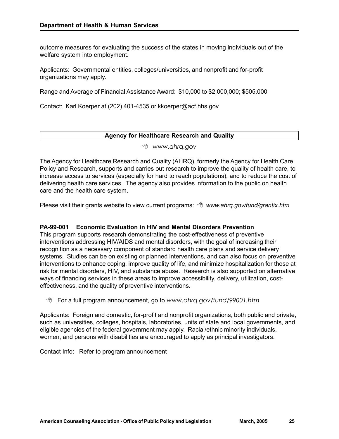outcome measures for evaluating the success of the states in moving individuals out of the welfare system into employment.

Applicants: Governmental entities, colleges/universities, and nonprofit and for-profit organizations may apply.

Range and Average of Financial Assistance Award: \$10,000 to \$2,000,000; \$505,000

Contact: Karl Koerper at (202) 401-4535 or kkoerper@acf.hhs.gov

#### **Agency for Healthcare Research and Quality**

*www.ahrq.gov*

The Agency for Healthcare Research and Quality (AHRQ), formerly the Agency for Health Care Policy and Research, supports and carries out research to improve the quality of health care, to increase access to services (especially for hard to reach populations), and to reduce the cost of delivering health care services. The agency also provides information to the public on health care and the health care system.

Please visit their grants website to view current programs: *www.ahrq.gov/fund/grantix.htm*

#### **PA-99-001 Economic Evaluation in HIV and Mental Disorders Prevention**

This program supports research demonstrating the cost-effectiveness of preventive interventions addressing HIV/AIDS and mental disorders, with the goal of increasing their recognition as a necessary component of standard health care plans and service delivery systems. Studies can be on existing or planned interventions, and can also focus on preventive interventions to enhance coping, improve quality of life, and minimize hospitalization for those at risk for mental disorders, HIV, and substance abuse. Research is also supported on alternative ways of financing services in these areas to improve accessibility, delivery, utilization, costeffectiveness, and the quality of preventive interventions.

For a full program announcement, go to *www.ahrq.gov/fund/99001.htm*

Applicants: Foreign and domestic, for-profit and nonprofit organizations, both public and private, such as universities, colleges, hospitals, laboratories, units of state and local governments, and eligible agencies of the federal government may apply. Racial/ethnic minority individuals, women, and persons with disabilities are encouraged to apply as principal investigators.

Contact Info: Refer to program announcement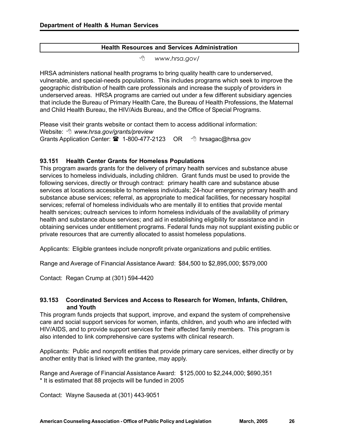### **Health Resources and Services Administration**

*www.hrsa.gov/*

HRSA administers national health programs to bring quality health care to underserved, vulnerable, and special-needs populations. This includes programs which seek to improve the geographic distribution of health care professionals and increase the supply of providers in underserved areas. HRSA programs are carried out under a few different subsidiary agencies that include the Bureau of Primary Health Care, the Bureau of Health Professions, the Maternal and Child Health Bureau, the HIV/Aids Bureau, and the Office of Special Programs.

Please visit their grants website or contact them to access additional information: Website: *www.hrsa.gov/grants/preview* Grants Application Center:  $\mathbf{\hat{m}}$  1-800-477-2123 OR  $\theta$  hrsagac@hrsa.gov

### **93.151 Health Center Grants for Homeless Populations**

This program awards grants for the delivery of primary health services and substance abuse services to homeless individuals, including children. Grant funds must be used to provide the following services, directly or through contract: primary health care and substance abuse services at locations accessible to homeless individuals; 24-hour emergency primary health and substance abuse services; referral, as appropriate to medical facilities, for necessary hospital services; referral of homeless individuals who are mentally ill to entities that provide mental health services; outreach services to inform homeless individuals of the availability of primary health and substance abuse services; and aid in establishing eligibility for assistance and in obtaining services under entitlement programs. Federal funds may not supplant existing public or private resources that are currently allocated to assist homeless populations.

Applicants: Eligible grantees include nonprofit private organizations and public entities.

Range and Average of Financial Assistance Award: \$84,500 to \$2,895,000; \$579,000

Contact: Regan Crump at (301) 594-4420

#### **93.153 Coordinated Services and Access to Research for Women, Infants, Children, and Youth**

This program funds projects that support, improve, and expand the system of comprehensive care and social support services for women, infants, children, and youth who are infected with HIV/AIDS, and to provide support services for their affected family members. This program is also intended to link comprehensive care systems with clinical research.

Applicants: Public and nonprofit entities that provide primary care services, either directly or by another entity that is linked with the grantee, may apply.

Range and Average of Financial Assistance Award: \$125,000 to \$2,244,000; \$690,351 \* It is estimated that 88 projects will be funded in 2005

Contact: Wayne Sauseda at (301) 443-9051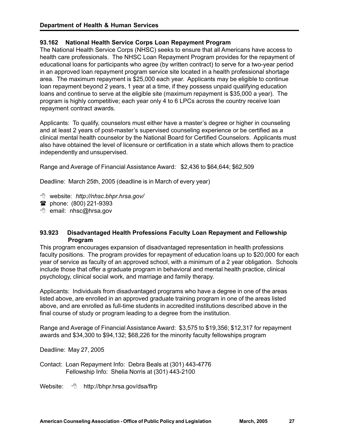#### **93.162 National Health Service Corps Loan Repayment Program**

The National Health Service Corps (NHSC) seeks to ensure that all Americans have access to health care professionals. The NHSC Loan Repayment Program provides for the repayment of educational loans for participants who agree (by written contract) to serve for a two-year period in an approved loan repayment program service site located in a health professional shortage area. The maximum repayment is \$25,000 each year. Applicants may be eligible to continue loan repayment beyond 2 years, 1 year at a time, if they possess unpaid qualifying education loans and continue to serve at the eligible site (maximum repayment is \$35,000 a year). The program is highly competitive; each year only 4 to 6 LPCs across the country receive loan repayment contract awards.

Applicants: To qualify, counselors must either have a master's degree or higher in counseling and at least 2 years of post-master's supervised counseling experience or be certified as a clinical mental health counselor by the National Board for Certified Counselors. Applicants must also have obtained the level of licensure or certification in a state which allows them to practice independently and unsupervised.

Range and Average of Financial Assistance Award: \$2,436 to \$64,644; \$62,509

Deadline: March 25th, 2005 (deadline is in March of every year)

- website: *http://nhsc.bhpr.hrsa.gov/*
- phone: (800) 221-9393
- <sup>t</sup> email: nhsc@hrsa.gov

#### **93.923 Disadvantaged Health Professions Faculty Loan Repayment and Fellowship Program**

This program encourages expansion of disadvantaged representation in health professions faculty positions. The program provides for repayment of education loans up to \$20,000 for each year of service as faculty of an approved school, with a minimum of a 2 year obligation. Schools include those that offer a graduate program in behavioral and mental health practice, clinical psychology, clinical social work, and marriage and family therapy.

Applicants: Individuals from disadvantaged programs who have a degree in one of the areas listed above, are enrolled in an approved graduate training program in one of the areas listed above, and are enrolled as full-time students in accredited institutions described above in the final course of study or program leading to a degree from the institution.

Range and Average of Financial Assistance Award:\$3,575 to \$19,356; \$12,317 for repayment awards and \$34,300 to \$94,132; \$68,226 for the minority faculty fellowships program

Deadline: May 27, 2005

Contact: Loan Repayment Info: Debra Beals at (301) 443-4776 Fellowship Info: Shelia Norris at (301) 443-2100

Website:  $\theta$  http://bhpr.hrsa.gov/dsa/flrp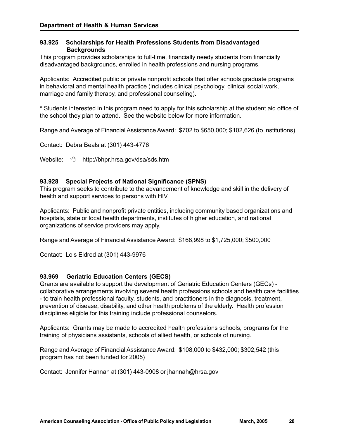#### **93.925 Scholarships for Health Professions Students from Disadvantaged Backgrounds**

This program provides scholarships to full-time, financially needy students from financially disadvantaged backgrounds, enrolled in health professions and nursing programs.

Applicants: Accredited public or private nonprofit schools that offer schools graduate programs in behavioral and mental health practice (includes clinical psychology, clinical social work, marriage and family therapy, and professional counseling).

\* Students interested in this program need to apply for this scholarship at the student aid office of the school they plan to attend. See the website below for more information.

Range and Average of Financial Assistance Award: \$702 to \$650,000; \$102,626 (to institutions)

Contact: Debra Beals at (301) 443-4776

Website: *I*f http://bhpr.hrsa.gov/dsa/sds.htm

#### **93.928 Special Projects of National Significance (SPNS)**

This program seeks to contribute to the advancement of knowledge and skill in the delivery of health and support services to persons with HIV.

Applicants: Public and nonprofit private entities, including community based organizations and hospitals, state or local health departments, institutes of higher education, and national organizations of service providers may apply.

Range and Average of Financial Assistance Award: \$168,998 to \$1,725,000; \$500,000

Contact: Lois Eldred at (301) 443-9976

#### **93.969 Geriatric Education Centers (GECS)**

Grants are available to support the development of Geriatric Education Centers (GECs) collaborative arrangements involving several health professions schools and health care facilities - to train health professional faculty, students, and practitioners in the diagnosis, treatment, prevention of disease, disability, and other health problems of the elderly. Health profession disciplines eligible for this training include professional counselors.

Applicants: Grants may be made to accredited health professions schools, programs for the training of physicians assistants, schools of allied health, or schools of nursing.

Range and Average of Financial Assistance Award: \$108,000 to \$432,000; \$302,542 (this program has not been funded for 2005)

Contact: Jennifer Hannah at (301) 443-0908 or jhannah@hrsa.gov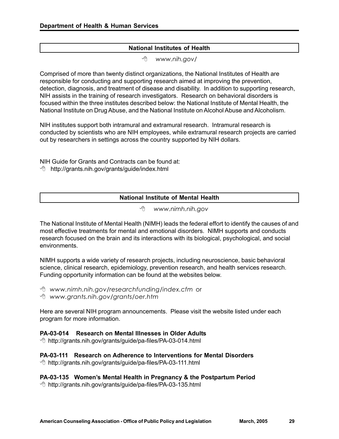### **National Institutes of Health**

*www.nih.gov/*

Comprised of more than twenty distinct organizations, the National Institutes of Health are responsible for conducting and supporting research aimed at improving the prevention, detection, diagnosis, and treatment of disease and disability. In addition to supporting research, NIH assists in the training of research investigators. Research on behavioral disorders is focused within the three institutes described below: the National Institute of Mental Health, the National Institute on Drug Abuse, and the National Institute on Alcohol Abuse and Alcoholism.

NIH institutes support both intramural and extramural research. Intramural research is conducted by scientists who are NIH employees, while extramural research projects are carried out by researchers in settings across the country supported by NIH dollars.

NIH Guide for Grants and Contracts can be found at:

http://grants.nih.gov/grants/guide/index.html

#### **National Institute of Mental Health**

*www.nimh.nih.gov*

The National Institute of Mental Health (NIMH) leads the federal effort to identify the causes of and most effective treatments for mental and emotional disorders. NIMH supports and conducts research focused on the brain and its interactions with its biological, psychological, and social environments.

NIMH supports a wide variety of research projects, including neuroscience, basic behavioral science, clinical research, epidemiology, prevention research, and health services research. Funding opportunity information can be found at the websites below.

*www.nimh.nih.gov/researchfunding/index.cfm* or

*www.grants.nih.gov/grants/oer.htm*

Here are several NIH program announcements. Please visit the website listed under each program for more information.

#### **PA-03-014 Research on Mental Illnesses in Older Adults**

http://grants.nih.gov/grants/guide/pa-files/PA-03-014.html

**PA-03-111 Research on Adherence to Interventions for Mental Disorders**

http://grants.nih.gov/grants/guide/pa-files/PA-03-111.html

## **PA-03-135 Women's Mental Health in Pregnancy & the Postpartum Period**

http://grants.nih.gov/grants/guide/pa-files/PA-03-135.html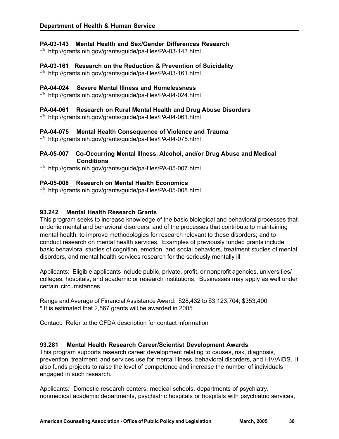#### **PA-03-143 Mental Health and Sex/Gender Differences Research**

http://grants.nih.gov/grants/guide/pa-files/PA-03-143.html

#### **PA-03-161 Research on the Reduction & Prevention of Suicidality**

http://grants.nih.gov/grants/guide/pa-files/PA-03-161.html

#### **PA-04-024 Severe Mental Illness and Homelessness**

http://grants.nih.gov/grants/guide/pa-files/PA-04-024.html

#### **PA-04-061 Research on Rural Mental Health and Drug Abuse Disorders**

http://grants.nih.gov/grants/guide/pa-files/PA-04-061.html

#### **PA-04-075 Mental Health Consequence of Violence and Trauma**

http://grants.nih.gov/grants/guide/pa-files/PA-04-075.html

#### **PA-05-007 Co-Occurring Mental Illness, Alcohol, and/or Drug Abuse and Medical Conditions**

http://grants.nih.gov/grants/guide/pa-files/PA-05-007.html

#### **PA-05-008 Research on Mental Health Economics**

http://grants.nih.gov/grants/guide/pa-files/PA-05-008.html

#### **93.242 Mental Health Research Grants**

This program seeks to increase knowledge of the basic biological and behavioral processes that underlie mental and behavioral disorders, and of the processes that contribute to maintaining mental health; to improve methodologies for research relevant to these disorders; and to conduct research on mental health services. Examples of previously funded grants include basic behavioral studies of cognition, emotion, and social behaviors, treatment studies of mental disorders, and mental health services research for the seriously mentally ill.

Applicants: Eligible applicants include public, private, profit, or nonprofit agencies, universities/ colleges, hospitals, and academic or research institutions. Businesses may apply as well under certain circumstances.

Range and Average of Financial Assistance Award: \$28,432 to \$3,123,704; \$353,400 \* It is estimated that 2,567 grants will be awarded in 2005

Contact: Refer to the CFDA description for contact information

#### **93.281 Mental Health Research Career/Scientist Development Awards**

This program supports research career development relating to causes, risk, diagnosis, prevention, treatment, and services use for mental illness, behavioral disorders, and HIV/AIDS. It also funds projects to raise the level of competence and increase the number of individuals engaged in such research.

Applicants: Domestic research centers, medical schools, departments of psychiatry, nonmedical academic departments, psychiatric hospitals or hospitals with psychiatric services,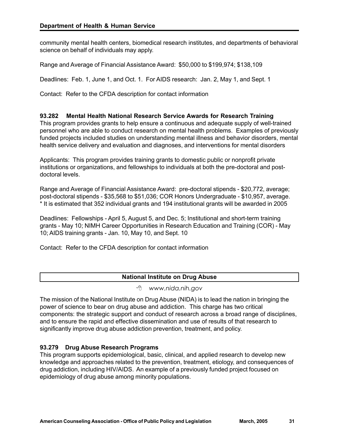community mental health centers, biomedical research institutes, and departments of behavioral science on behalf of individuals may apply.

Range and Average of Financial Assistance Award: \$50,000 to \$199,974; \$138,109

Deadlines: Feb. 1, June 1, and Oct. 1. For AIDS research: Jan. 2, May 1, and Sept. 1

Contact: Refer to the CFDA description for contact information

#### **93.282 Mental Health National Research Service Awards for Research Training**

This program provides grants to help ensure a continuous and adequate supply of well-trained personnel who are able to conduct research on mental health problems. Examples of previously funded projects included studies on understanding mental illness and behavior disorders, mental health service delivery and evaluation and diagnoses, and interventions for mental disorders

Applicants: This program provides training grants to domestic public or nonprofit private institutions or organizations, and fellowships to individuals at both the pre-doctoral and postdoctoral levels.

Range and Average of Financial Assistance Award: pre-doctoral stipends - \$20,772, average; post-doctoral stipends - \$35,568 to \$51,036; COR Honors Undergraduate - \$10,957, average. \* It is estimated that 352 individual grants and 194 institutional grants will be awarded in 2005

Deadlines: Fellowships - April 5, August 5, and Dec. 5; Institutional and short-term training grants - May 10; NIMH Career Opportunities in Research Education and Training (COR) - May 10; AIDS training grants - Jan. 10, May 10, and Sept. 10

Contact: Refer to the CFDA description for contact information

#### **National Institute on Drug Abuse**

 *www.nida.nih.gov*

The mission of the National Institute on Drug Abuse (NIDA) is to lead the nation in bringing the power of science to bear on drug abuse and addiction. This charge has two critical components: the strategic support and conduct of research across a broad range of disciplines, and to ensure the rapid and effective dissemination and use of results of that research to significantly improve drug abuse addiction prevention, treatment, and policy.

#### **93.279 Drug Abuse Research Programs**

This program supports epidemiological, basic, clinical, and applied research to develop new knowledge and approaches related to the prevention, treatment, etiology, and consequences of drug addiction, including HIV/AIDS. An example of a previously funded project focused on epidemiology of drug abuse among minority populations.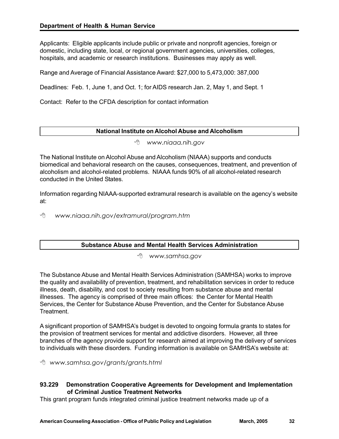Applicants: Eligible applicants include public or private and nonprofit agencies, foreign or domestic, including state, local, or regional government agencies, universities, colleges, hospitals, and academic or research institutions. Businesses may apply as well.

Range and Average of Financial Assistance Award: \$27,000 to 5,473,000: 387,000

Deadlines: Feb. 1, June 1, and Oct. 1; for AIDS research Jan. 2, May 1, and Sept. 1

Contact: Refer to the CFDA description for contact information

#### **National Institute on Alcohol Abuse and Alcoholism**

 *www.niaaa.nih.gov*

The National Institute on Alcohol Abuse and Alcoholism (NIAAA) supports and conducts biomedical and behavioral research on the causes, consequences, treatment, and prevention of alcoholism and alcohol-related problems. NIAAA funds 90% of all alcohol-related research conducted in the United States.

Information regarding NIAAA-supported extramural research is available on the agency's website at:

*www.niaaa.nih.gov/extramural/program.htm*

#### **Substance Abuse and Mental Health Services Administration**

 *www.samhsa.gov*

The Substance Abuse and Mental Health Services Administration (SAMHSA) works to improve the quality and availability of prevention, treatment, and rehabilitation services in order to reduce illness, death, disability, and cost to society resulting from substance abuse and mental illnesses. The agency is comprised of three main offices: the Center for Mental Health Services, the Center for Substance Abuse Prevention, and the Center for Substance Abuse **Treatment** 

A significant proportion of SAMHSA's budget is devoted to ongoing formula grants to states for the provision of treatment services for mental and addictive disorders. However, all three branches of the agency provide support for research aimed at improving the delivery of services to individuals with these disorders. Funding information is available on SAMHSA's website at:

*www.samhsa.gov/grants/grants.html*

#### **93.229 Demonstration Cooperative Agreements for Development and Implementation of Criminal Justice Treatment Networks**

This grant program funds integrated criminal justice treatment networks made up of a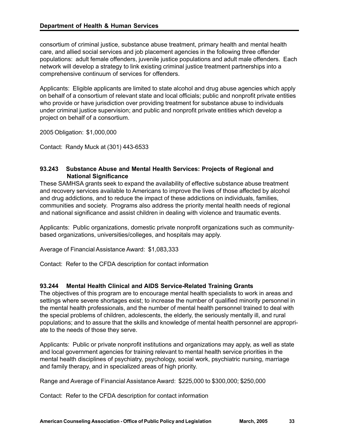consortium of criminal justice, substance abuse treatment, primary health and mental health care, and allied social services and job placement agencies in the following three offender populations: adult female offenders, juvenile justice populations and adult male offenders. Each network will develop a strategy to link existing criminal justice treatment partnerships into a comprehensive continuum of services for offenders.

Applicants: Eligible applicants are limited to state alcohol and drug abuse agencies which apply on behalf of a consortium of relevant state and local officials; public and nonprofit private entities who provide or have jurisdiction over providing treatment for substance abuse to individuals under criminal justice supervision; and public and nonprofit private entities which develop a project on behalf of a consortium.

2005 Obligation: \$1,000,000

Contact: Randy Muck at (301) 443-6533

#### **93.243 Substance Abuse and Mental Health Services: Projects of Regional and National Significance**

These SAMHSA grants seek to expand the availability of effective substance abuse treatment and recovery services available to Americans to improve the lives of those affected by alcohol and drug addictions, and to reduce the impact of these addictions on individuals, families, communities and society. Programs also address the priority mental health needs of regional and national significance and assist children in dealing with violence and traumatic events.

Applicants: Public organizations, domestic private nonprofit organizations such as communitybased organizations, universities/colleges, and hospitals may apply.

Average of Financial Assistance Award: \$1,083,333

Contact: Refer to the CFDA description for contact information

#### **93.244 Mental Health Clinical and AIDS Service-Related Training Grants**

The objectives of this program are to encourage mental health specialists to work in areas and settings where severe shortages exist; to increase the number of qualified minority personnel in the mental health professionals, and the number of mental health personnel trained to deal with the special problems of children, adolescents, the elderly, the seriously mentally ill, and rural populations; and to assure that the skills and knowledge of mental health personnel are appropriate to the needs of those they serve.

Applicants: Public or private nonprofit institutions and organizations may apply, as well as state and local government agencies for training relevant to mental health service priorities in the mental health disciplines of psychiatry, psychology, social work, psychiatric nursing, marriage and family therapy, and in specialized areas of high priority.

Range and Average of Financial Assistance Award: \$225,000 to \$300,000; \$250,000

Contact: Refer to the CFDA description for contact information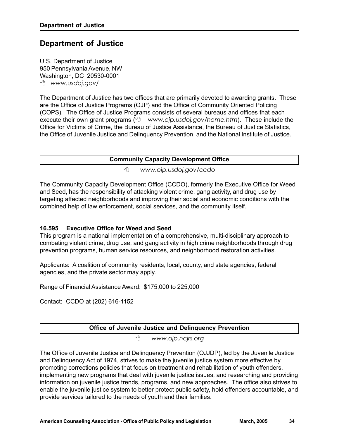# **Department of Justice**

U.S. Department of Justice 950 Pennsylvania Avenue, NW Washington, DC 20530-0001 *www.usdoj.gov/*

The Department of Justice has two offices that are primarily devoted to awarding grants. These are the Office of Justice Programs (OJP) and the Office of Community Oriented Policing (COPS). The Office of Justice Programs consists of several bureaus and offices that each execute their own grant programs ( *www.ojp.usdoj.gov/home.htm*). These include the Office for Victims of Crime, the Bureau of Justice Assistance, the Bureau of Justice Statistics, the Office of Juvenile Justice and Delinquency Prevention, and the National Institute of Justice.

#### **Community Capacity Development Office**

*www.ojp.usdoj.gov/ccdo*

The Community Capacity Development Office (CCDO), formerly the Executive Office for Weed and Seed, has the responsibility of attacking violent crime, gang activity, and drug use by targeting affected neighborhoods and improving their social and economic conditions with the combined help of law enforcement, social services, and the community itself.

## **16.595 Executive Office for Weed and Seed**

This program is a national implementation of a comprehensive, multi-disciplinary approach to combating violent crime, drug use, and gang activity in high crime neighborhoods through drug prevention programs, human service resources, and neighborhood restoration activities.

Applicants: A coalition of community residents, local, county, and state agencies, federal agencies, and the private sector may apply.

Range of Financial Assistance Award: \$175,000 to 225,000

Contact: CCDO at (202) 616-1152

#### **Office of Juvenile Justice and Delinquency Prevention**

*www.ojp.ncjrs.org*

The Office of Juvenile Justice and Delinquency Prevention (OJJDP), led by the Juvenile Justice and Delinquency Act of 1974, strives to make the juvenile justice system more effective by promoting corrections policies that focus on treatment and rehabilitation of youth offenders, implementing new programs that deal with juvenile justice issues, and researching and providing information on juvenile justice trends, programs, and new approaches. The office also strives to enable the juvenile justice system to better protect public safety, hold offenders accountable, and provide services tailored to the needs of youth and their families.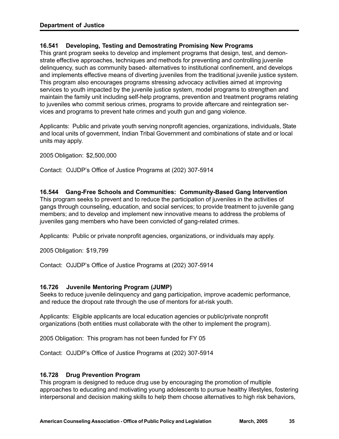#### **16.541 Developing, Testing and Demostrating Promising New Programs**

This grant program seeks to develop and implement programs that design, test, and demonstrate effective approaches, techniques and methods for preventing and controlling juvenile delinquency, such as community based- alternatives to institutional confinement, and develops and implements effective means of diverting juveniles from the traditional juvenile justice system. This program also encourages programs stressing advocacy activities aimed at improving services to youth impacted by the juvenile justice system, model programs to strengthen and maintain the family unit including self-help programs, prevention and treatment programs relating to juveniles who commit serious crimes, programs to provide aftercare and reintegration services and programs to prevent hate crimes and youth gun and gang violence.

Applicants: Public and private youth serving nonprofit agencies, organizations, individuals, State and local units of government, Indian Tribal Government and combinations of state and or local units may apply.

2005 Obligation: \$2,500,000

Contact: OJJDP's Office of Justice Programs at (202) 307-5914

**16.544 Gang-Free Schools and Communities: Community-Based Gang Intervention** This program seeks to prevent and to reduce the participation of juveniles in the activities of gangs through counseling, education, and social services; to provide treatment to juvenile gang members; and to develop and implement new innovative means to address the problems of juveniles gang members who have been convicted of gang-related crimes.

Applicants: Public or private nonprofit agencies, organizations, or individuals may apply.

2005 Obligation: \$19,799

Contact: OJJDP's Office of Justice Programs at (202) 307-5914

#### **16.726 Juvenile Mentoring Program (JUMP)**

Seeks to reduce juvenile delinquency and gang participation, improve academic performance, and reduce the dropout rate through the use of mentors for at-risk youth.

Applicants: Eligible applicants are local education agencies or public/private nonprofit organizations (both entities must collaborate with the other to implement the program).

2005 Obligation: This program has not been funded for FY 05

Contact: OJJDP's Office of Justice Programs at (202) 307-5914

#### **16.728 Drug Prevention Program**

This program is designed to reduce drug use by encouraging the promotion of multiple approaches to educating and motivating young adolescents to pursue healthy lifestyles, fostering interpersonal and decision making skills to help them choose alternatives to high risk behaviors,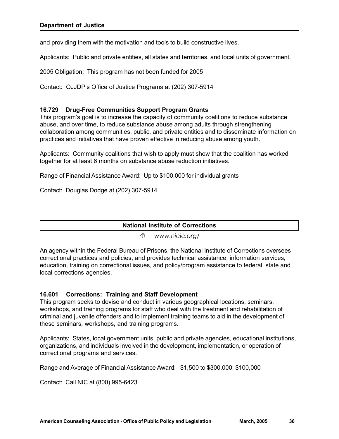and providing them with the motivation and tools to build constructive lives.

Applicants: Public and private entities, all states and territories, and local units of government.

2005 Obligation: This program has not been funded for 2005

Contact: OJJDP's Office of Justice Programs at (202) 307-5914

#### **16.729 Drug-Free Communities Support Program Grants**

This program's goal is to increase the capacity of community coalitions to reduce substance abuse, and over time, to reduce substance abuse among adults through strengthening collaboration among communities, public, and private entities and to disseminate information on practices and initiatives that have proven effective in reducing abuse among youth.

Applicants: Community coalitions that wish to apply must show that the coalition has worked together for at least 6 months on substance abuse reduction initiatives.

Range of Financial Assistance Award:Up to \$100,000 for individual grants

Contact: Douglas Dodge at (202) 307-5914

#### **National Institute of Corrections**

*www.nicic.org/*

An agency within the Federal Bureau of Prisons, the National Institute of Corrections oversees correctional practices and policies, and provides technical assistance, information services, education, training on correctional issues, and policy/program assistance to federal, state and local corrections agencies.

#### **16.601 Corrections: Training and Staff Development**

This program seeks to devise and conduct in various geographical locations, seminars, workshops, and training programs for staff who deal with the treatment and rehabilitation of criminal and juvenile offenders and to implement training teams to aid in the development of these seminars, workshops, and training programs.

Applicants: States, local government units, public and private agencies, educational institutions, organizations, and individuals involved in the development, implementation, or operation of correctional programs and services.

Range and Average of Financial Assistance Award: \$1,500 to \$300,000; \$100,000

Contact: Call NIC at (800) 995-6423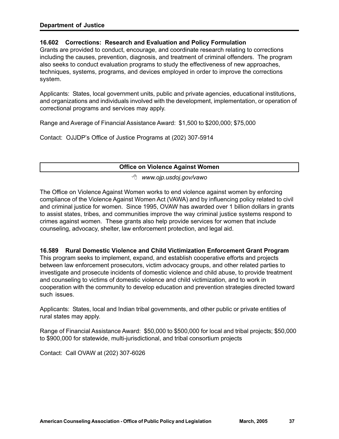### **16.602 Corrections: Research and Evaluation and Policy Formulation**

Grants are provided to conduct, encourage, and coordinate research relating to corrections including the causes, prevention, diagnosis, and treatment of criminal offenders. The program also seeks to conduct evaluation programs to study the effectiveness of new approaches, techniques, systems, programs, and devices employed in order to improve the corrections system.

Applicants: States, local government units, public and private agencies, educational institutions, and organizations and individuals involved with the development, implementation, or operation of correctional programs and services may apply.

Range and Average of Financial Assistance Award: \$1,500 to \$200,000; \$75,000

Contact: OJJDP's Office of Justice Programs at (202) 307-5914

**Office on Violence Against Women**

*www.ojp.usdoj.gov/vawo*

The Office on Violence Against Women works to end violence against women by enforcing compliance of the Violence Against Women Act (VAWA) and by influencing policy related to civil and criminal justice for women. Since 1995, OVAW has awarded over 1 billion dollars in grants to assist states, tribes, and communities improve the way criminal justice systems respond to crimes against women. These grants also help provide services for women that include counseling, advocacy, shelter, law enforcement protection, and legal aid.

**16.589 Rural Domestic Violence and Child Victimization Enforcement Grant Program** This program seeks to implement, expand, and establish cooperative efforts and projects between law enforcement prosecutors, victim advocacy groups, and other related parties to investigate and prosecute incidents of domestic violence and child abuse, to provide treatment and counseling to victims of domestic violence and child victimization, and to work in cooperation with the community to develop education and prevention strategies directed toward such issues.

Applicants: States, local and Indian tribal governments, and other public or private entities of rural states may apply.

Range of Financial Assistance Award: \$50,000 to \$500,000 for local and tribal projects; \$50,000 to \$900,000 for statewide, multi-jurisdictional, and tribal consortium projects

Contact: Call OVAW at (202) 307-6026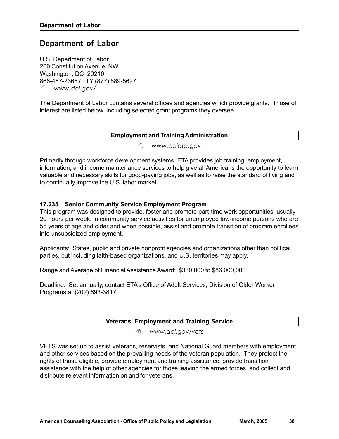# **Department of Labor**

U.S. Department of Labor 200 Constitution Avenue, NW Washington, DC 20210 866-487-2365 / TTY (877) 889-5627 *www.dol.gov/*

The Department of Labor contains several offices and agencies which provide grants. Those of interest are listed below, including selected grant programs they oversee.

#### **Employment and Training Administration**

*www.doleta.gov*

Primarily through workforce development systems, ETA provides job training, employment, information, and income maintenance services to help give all Americans the opportunity to learn valuable and necessary skills for good-paying jobs, as well as to raise the standard of living and to continually improve the U.S. labor market.

#### **17.235 Senior Community Service Employment Program**

This program was designed to provide, foster and promote part-time work opportunities, usually 20 hours per week, in community service activities for unemployed low-income persons who are 55 years of age and older and when possible, assist and promote transition of program enrollees into unsubsidized employment.

Applicants: States, public and private nonprofit agencies and organizations other than political parties, but including faith-based organizations, and U.S. territories may apply.

Range and Average of Financial Assistance Award: \$330,000 to \$86,000,000

Deadline: Set annually, contact ETA's Office of Adult Services, Division of Older Worker Programs at (202) 693-3817

#### **Veterans' Employment and Training Service**

*www.dol.gov/vets*

VETS was set up to assist veterans, reservists, and National Guard members with employment and other services based on the prevailing needs of the veteran population. They protect the rights of those eligible, provide employment and training assistance, provide transition assistance with the help of other agencies for those leaving the armed forces, and collect and distribute relevant information on and for veterans.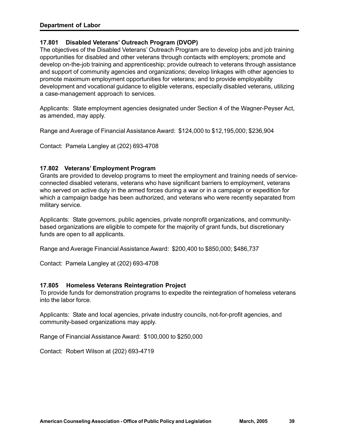### **17.801 Disabled Veterans' Outreach Program (DVOP)**

The objectives of the Disabled Veterans' Outreach Program are to develop jobs and job training opportunities for disabled and other veterans through contacts with employers; promote and develop on-the-job training and apprenticeship; provide outreach to veterans through assistance and support of community agencies and organizations; develop linkages with other agencies to promote maximum employment opportunities for veterans; and to provide employability development and vocational guidance to eligible veterans, especially disabled veterans, utilizing a case-management approach to services.

Applicants: State employment agencies designated under Section 4 of the Wagner-Peyser Act, as amended, may apply.

Range and Average of Financial Assistance Award: \$124,000 to \$12,195,000; \$236,904

Contact: Pamela Langley at (202) 693-4708

#### **17.802 Veterans' Employment Program**

Grants are provided to develop programs to meet the employment and training needs of serviceconnected disabled veterans, veterans who have significant barriers to employment, veterans who served on active duty in the armed forces during a war or in a campaign or expedition for which a campaign badge has been authorized, and veterans who were recently separated from military service.

Applicants: State governors, public agencies, private nonprofit organizations, and communitybased organizations are eligible to compete for the majority of grant funds, but discretionary funds are open to all applicants.

Range and Average Financial Assistance Award: \$200,400 to \$850,000; \$486,737

Contact: Pamela Langley at (202) 693-4708

#### **17.805 Homeless Veterans Reintegration Project**

To provide funds for demonstration programs to expedite the reintegration of homeless veterans into the labor force.

Applicants: State and local agencies, private industry councils, not-for-profit agencies, and community-based organizations may apply.

Range of Financial Assistance Award: \$100,000 to \$250,000

Contact: Robert Wilson at (202) 693-4719